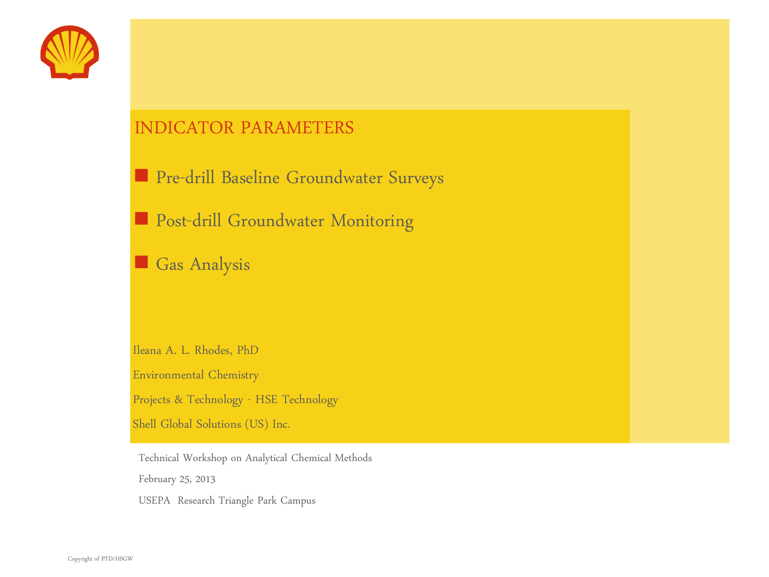

## INDICATOR PARAMETERS

**Pre-drill Baseline Groundwater Surveys** 

**Post-drill Groundwater Monitoring** 

**Gas Analysis** 

Ileana A. L. Rhodes, PhD Environmental Chemistry

Projects & Technology - HSE Technology

Shell Global Solutions (US) Inc.

Technical Workshop on Analytical Chemical Methods

February 25, 2013

USEPA Research Triangle Park Campus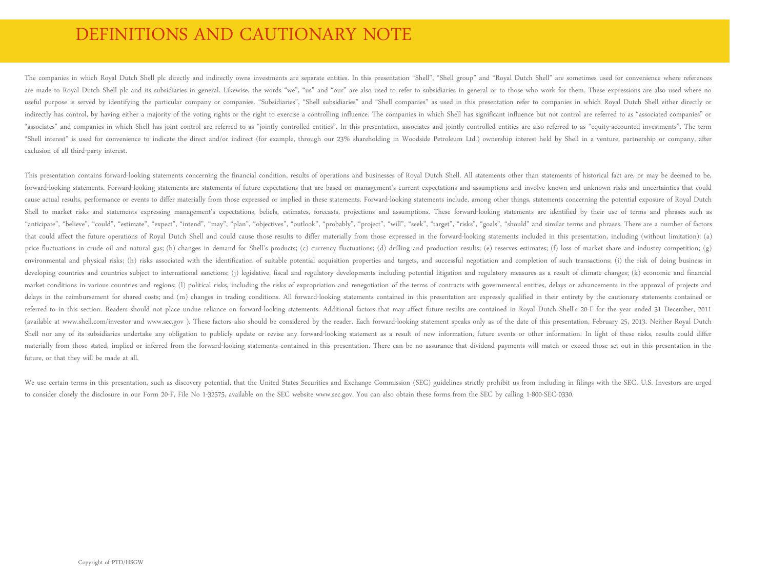## DEFINITIONS AND CAUTIONARY NOTE

The companies in which Royal Dutch Shell plc directly and indirectly owns investments are separate entities. In this presentation "Shell", "Shell group" and "Royal Dutch Shell" are sometimes used for convenience where refe are made to Royal Dutch Shell plc and its subsidiaries in general. Likewise, the words "we", "us" and "our" are also used to refer to subsidiaries in general or to those who work for them. These expressions are also used w useful purpose is served by identifying the particular company or companies. "Subsidiaries", "Shell subsidiaries" and "Shell companies" as used in this presentation refer to companies in which Royal Dutch Shell either dire indirectly has control, by having either a majority of the voting rights or the right to exercise a controlling influence. The companies in which Shell has significant influence but not control are referred to as "associat "associates" and companies in which Shell has joint control are referred to as "jointly controlled entities". In this presentation, associates and jointly controlled entities are also referred to as "equity-accounted inves "Shell interest" is used for convenience to indicate the direct and/or indirect (for example, through our 23% shareholding in Woodside Petroleum Ltd.) ownership interest held by Shell in a venture, partnership or company, exclusion of all third-party interest.

This presentation contains forward-looking statements concerning the financial condition, results of operations and businesses of Royal Dutch Shell. All statements other than statements of historical fact are, or may be de forward-looking statements. Forward-looking statements are statements of future expectations that are based on management's current expectations and assumptions and involve known and unknown risks and uncertainties that co cause actual results, performance or events to differ materially from those expressed or implied in these statements. Forward-looking statements include, among other things, statements concerning the potential exposure of Shell to market risks and statements expressing management's expectations, beliefs, estimates, forecasts, projections and assumptions. These forward-looking statements are identified by their use of terms and phrases such "anticipate", "believe", "could", "estimate", "expect", "intend", "may", "plan", "objectives", "outlook", "probably", "project", "will", "seek", "target", "risks", "goals", "should" and similar terms and phrases. There are that could affect the future operations of Royal Dutch Shell and could cause those results to differ materially from those expressed in the forward-looking statements included in this presentation, including (without limit price fluctuations in crude oil and natural gas; (b) changes in demand for Shell's products; (c) currency fluctuations; (d) drilling and production results; (e) reserves estimates; (f) loss of market share and industry com environmental and physical risks; (h) risks associated with the identification of suitable potential acquisition properties and targets, and successful negotiation and completion of such transactions; (i) the risk of doing developing countries and countries subject to international sanctions; (j) legislative, fiscal and regulatory developments including potential litigation and regulatory measures as a result of climate changes; (k) economic market conditions in various countries and regions; (1) political risks, including the risks of expropriation and renegotiation of the terms of contracts with governmental entities, delays or advancements in the approval o delays in the reimbursement for shared costs; and (m) changes in trading conditions. All forward-looking statements contained in this presentation are expressly qualified in their entirety by the cautionary statements cont referred to in this section. Readers should not place undue reliance on forward-looking statements. Additional factors that may affect future results are contained in Royal Dutch Shell's 20-F for the year ended 31 December (available at www.shell.com/investor and www.sec.gov ). These factors also should be considered by the reader. Each forward-looking statement speaks only as of the date of this presentation, February 25, 2013. Neither Roya Shell nor any of its subsidiaries undertake any obligation to publicly update or revise any forward-looking statement as a result of new information, future events or other information. In light of these risks, results cou materially from those stated, implied or inferred from the forward-looking statements contained in this presentation. There can be no assurance that dividend payments will match or exceed those set out in this presentation future, or that they will be made at all.

We use certain terms in this presentation, such as discovery potential, that the United States Securities and Exchange Commission (SEC) guidelines strictly prohibit us from including in filings with the SEC. U.S. Investors to consider closely the disclosure in our Form 20-F, File No 1-32575, available on the SEC website www.sec.gov. You can also obtain these forms from the SEC by calling 1-800-SEC-0330.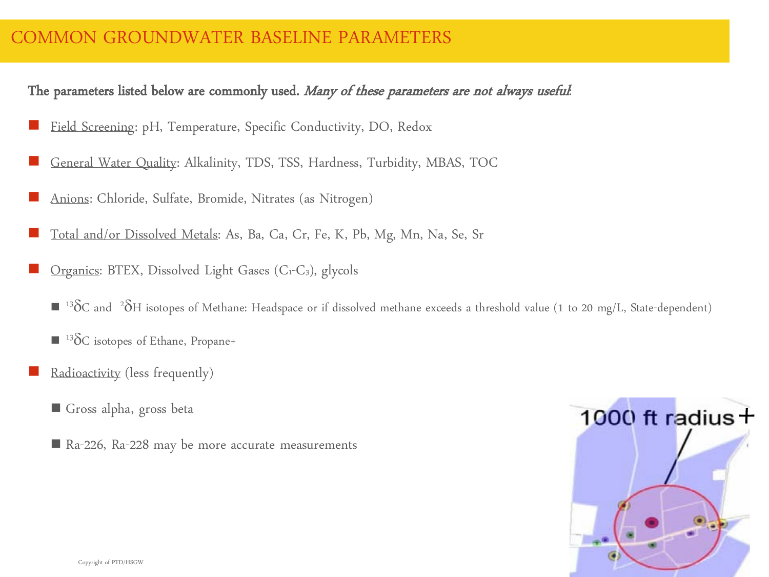## COMMON GROUNDWATER BASELINE PARAMETERS

### The parameters listed below are commonly used. Many of these parameters are not always useful:

- Field Screening: pH, Temperature, Specific Conductivity, DO, Redox
- General Water Quality: Alkalinity, TDS, TSS, Hardness, Turbidity, MBAS, TOC
- Anions: Chloride, Sulfate, Bromide, Nitrates (as Nitrogen)
- Total and/or Dissolved Metals: As, Ba, Ca, Cr, Fe, K, Pb, Mg, Mn, Na, Se, Sr
- Organics: BTEX, Dissolved Light Gases (C1-C3), glycols
	- $\blacksquare$ <sup>13</sup> $\delta$ C and <sup>2</sup> $\delta$ H isotopes of Methane: Headspace or if dissolved methane exceeds a threshold value (1 to 20 mg/L, State-dependent)
	- <sup>13</sup>δC isotopes of Ethane, Propane+
- Radioactivity (less frequently)
	- Gross alpha, gross beta
	- Ra-226, Ra-228 may be more accurate measurements

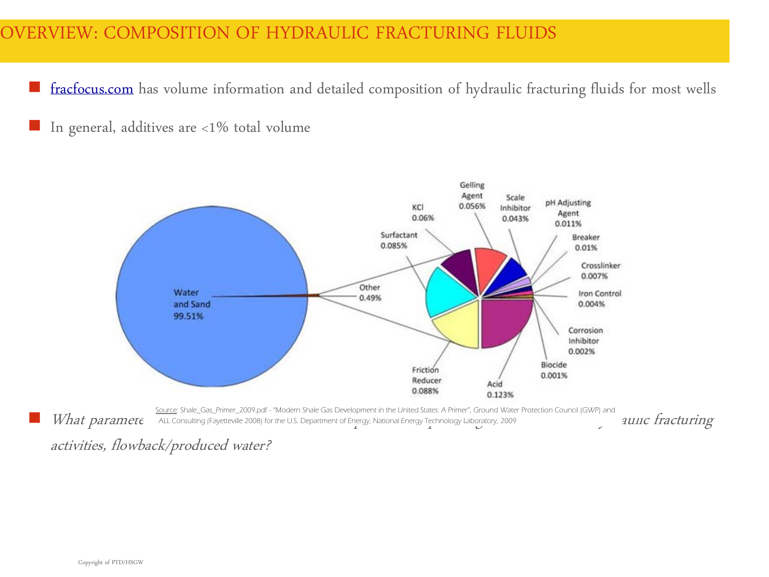# OVERVIEW: COMPOSITION OF HYDRAULIC FRACTURING FLUIDS

fracfocus.com has volume information and detailed composition of hydraulic fracturing fluids for most wells

In general, additives are <1% total volume

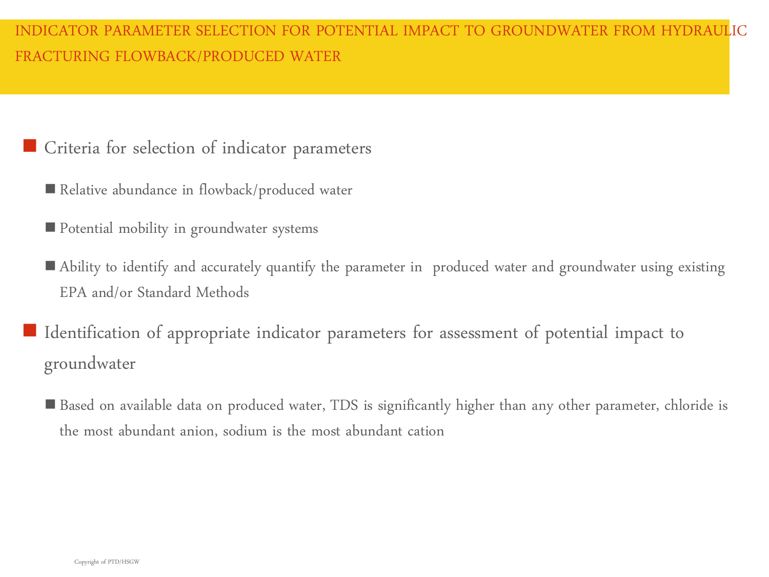Criteria for selection of indicator parameters

- Relative abundance in flowback/produced water
- **Potential mobility in groundwater systems**
- Ability to identify and accurately quantify the parameter in produced water and groundwater using existing EPA and/or Standard Methods

 Identification of appropriate indicator parameters for assessment of potential impact to groundwater

■ Based on available data on produced water, TDS is significantly higher than any other parameter, chloride is the most abundant anion, sodium is the most abundant cation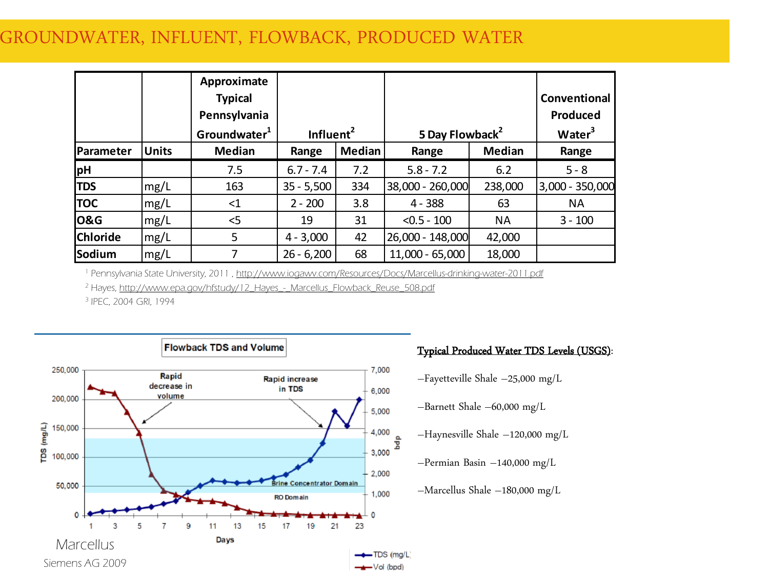### GROUNDWATER, INFLUENT, FLOWBACK, PRODUCED WATER

|                 |              | Approximate<br><b>Typical</b><br>Pennsylvania<br>Groundwater <sup>1</sup> | Influent <sup>2</sup> |        | 5 Day Flowback <sup>2</sup> |               | Conventional<br>Produced<br>Water <sup>3</sup> |
|-----------------|--------------|---------------------------------------------------------------------------|-----------------------|--------|-----------------------------|---------------|------------------------------------------------|
| Parameter       | <b>Units</b> | <b>Median</b>                                                             | Range                 | Median | Range                       | <b>Median</b> | Range                                          |
| <u>pH</u>       |              | 7.5                                                                       | $6.7 - 7.4$           | 7.2    | $5.8 - 7.2$                 | 6.2           | $5 - 8$                                        |
| <b>TDS</b>      | mg/L         | 163                                                                       | $35 - 5,500$          | 334    | 38,000 - 260,000            | 238,000       | 3,000 - 350,000                                |
| <b>TOC</b>      | mg/L         | $<$ 1                                                                     | $2 - 200$             | 3.8    | $4 - 388$                   | 63            | <b>NA</b>                                      |
| <b>O&amp;G</b>  | mg/L         | $<$ 5                                                                     | 19                    | 31     | $< 0.5 - 100$               | <b>NA</b>     | $3 - 100$                                      |
| <b>Chloride</b> | mg/L         | 5                                                                         | $4 - 3,000$           | 42     | 26,000 - 148,000            | 42,000        |                                                |
| Sodium          | mg/L         | 7                                                                         | $26 - 6,200$          | 68     | 11,000 - 65,000             | 18,000        |                                                |

<sup>1</sup> Pennsylvania State University, 2011,<http://www.iogawv.com/Resources/Docs/Marcellus-drinking-water-2011.pdf>

<sup>2</sup> Hayes, [http://www.epa.gov/hfstudy/12\\_Hayes\\_-\\_Marcellus\\_Flowback\\_Reuse\\_508.pdf](http://www.epa.gov/hfstudy/12_Hayes_-_Marcellus_Flowback_Reuse_508.pdf)

<sup>3</sup> IPEC, 2004 GRI, 1994



#### Typical Produced Water TDS Levels (USGS):

- –Fayetteville Shale –25,000 mg/L
- –Barnett Shale –60,000 mg/L
- –Haynesville Shale –120,000 mg/L
- –Permian Basin –140,000 mg/L
- –Marcellus Shale –180,000 mg/L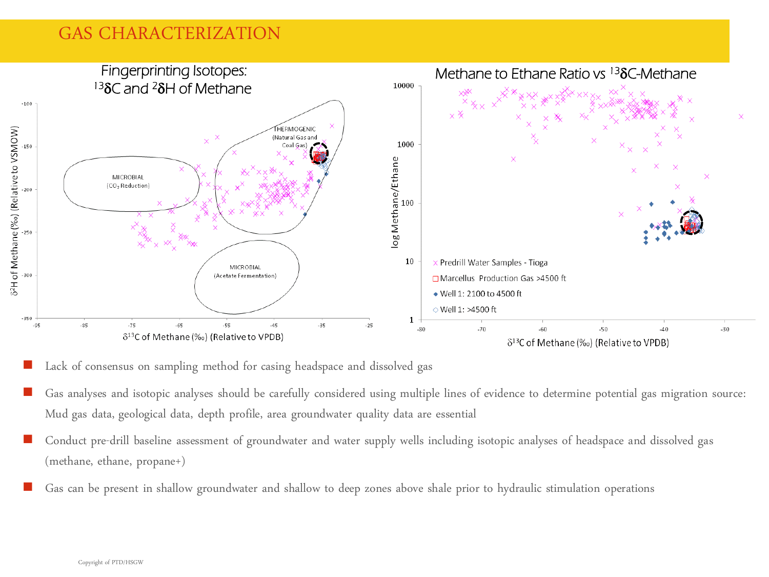# GAS CHARACTERIZATION



- Lack of consensus on sampling method for casing headspace and dissolved gas
- Gas analyses and isotopic analyses should be carefully considered using multiple lines of evidence to determine potential gas migration source: Mud gas data, geological data, depth profile, area groundwater quality data are essential
- Conduct pre-drill baseline assessment of groundwater and water supply wells including isotopic analyses of headspace and dissolved gas (methane, ethane, propane+)
- Gas can be present in shallow groundwater and shallow to deep zones above shale prior to hydraulic stimulation operations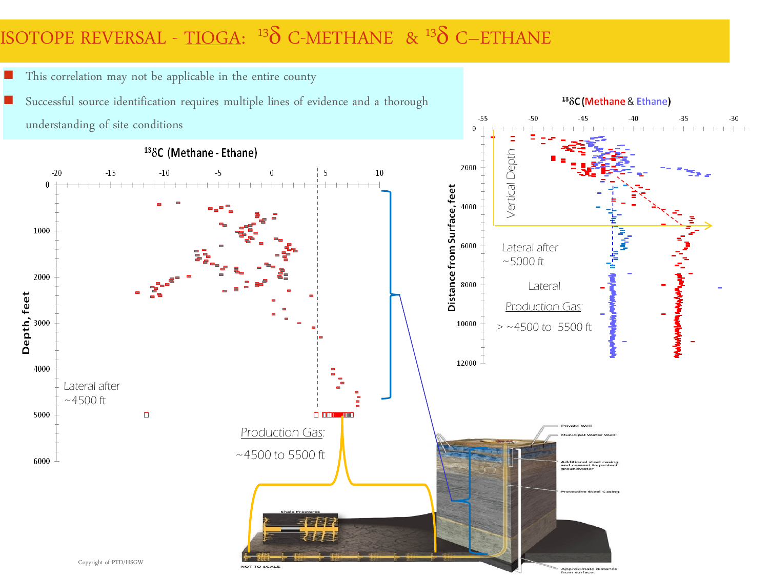# ISOTOPE REVERSAL - TIOGA:  $^{13}$  $\delta$  C-METHANE &  $^{13}$  $\delta$  C-ETHANE

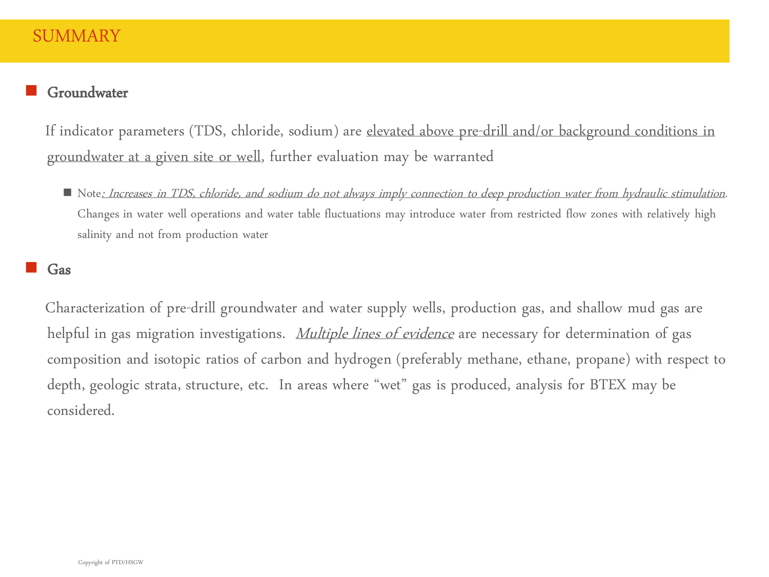### Groundwater

 If indicator parameters (TDS, chloride, sodium) are elevated above pre-drill and/or background conditions in groundwater at a given site or well, further evaluation may be warranted

Note: Increases in TDS, chloride, and sodium do not always imply connection to deep production water from hydraulic stimulation. Changes in water well operations and water table fluctuations may introduce water from restricted flow zones with relatively high salinity and not from production water

### Gas

 Characterization of pre-drill groundwater and water supply wells, production gas, and shallow mud gas are helpful in gas migration investigations. *Multiple lines of evidence* are necessary for determination of gas composition and isotopic ratios of carbon and hydrogen (preferably methane, ethane, propane) with respect to depth, geologic strata, structure, etc. In areas where "wet" gas is produced, analysis for BTEX may be considered.